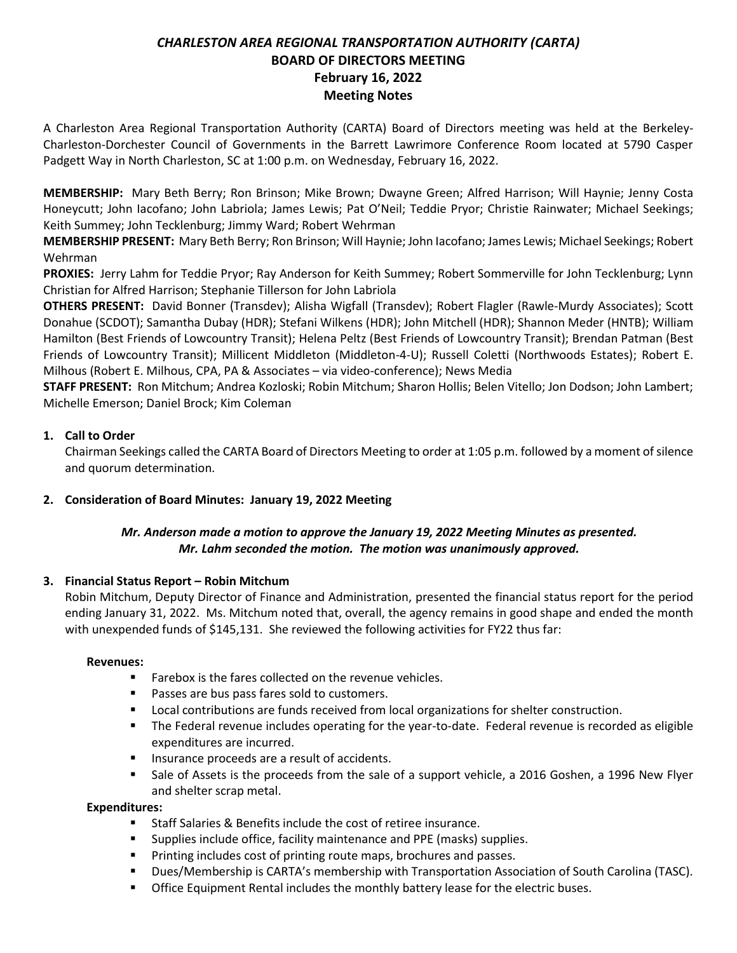# *CHARLESTON AREA REGIONAL TRANSPORTATION AUTHORITY (CARTA)* **BOARD OF DIRECTORS MEETING February 16, 2022 Meeting Notes**

A Charleston Area Regional Transportation Authority (CARTA) Board of Directors meeting was held at the Berkeley-Charleston-Dorchester Council of Governments in the Barrett Lawrimore Conference Room located at 5790 Casper Padgett Way in North Charleston, SC at 1:00 p.m. on Wednesday, February 16, 2022.

**MEMBERSHIP:** Mary Beth Berry; Ron Brinson; Mike Brown; Dwayne Green; Alfred Harrison; Will Haynie; Jenny Costa Honeycutt; John Iacofano; John Labriola; James Lewis; Pat O'Neil; Teddie Pryor; Christie Rainwater; Michael Seekings; Keith Summey; John Tecklenburg; Jimmy Ward; Robert Wehrman

**MEMBERSHIP PRESENT:** Mary Beth Berry; Ron Brinson; Will Haynie; John Iacofano; James Lewis; Michael Seekings; Robert Wehrman

**PROXIES:** Jerry Lahm for Teddie Pryor; Ray Anderson for Keith Summey; Robert Sommerville for John Tecklenburg; Lynn Christian for Alfred Harrison; Stephanie Tillerson for John Labriola

**OTHERS PRESENT:** David Bonner (Transdev); Alisha Wigfall (Transdev); Robert Flagler (Rawle-Murdy Associates); Scott Donahue (SCDOT); Samantha Dubay (HDR); Stefani Wilkens (HDR); John Mitchell (HDR); Shannon Meder (HNTB); William Hamilton (Best Friends of Lowcountry Transit); Helena Peltz (Best Friends of Lowcountry Transit); Brendan Patman (Best Friends of Lowcountry Transit); Millicent Middleton (Middleton-4-U); Russell Coletti (Northwoods Estates); Robert E. Milhous (Robert E. Milhous, CPA, PA & Associates – via video-conference); News Media

**STAFF PRESENT:** Ron Mitchum; Andrea Kozloski; Robin Mitchum; Sharon Hollis; Belen Vitello; Jon Dodson; John Lambert; Michelle Emerson; Daniel Brock; Kim Coleman

# **1. Call to Order**

Chairman Seekings called the CARTA Board of Directors Meeting to order at 1:05 p.m. followed by a moment of silence and quorum determination.

# **2. Consideration of Board Minutes: January 19, 2022 Meeting**

# *Mr. Anderson made a motion to approve the January 19, 2022 Meeting Minutes as presented. Mr. Lahm seconded the motion. The motion was unanimously approved.*

### **3. Financial Status Report – Robin Mitchum**

Robin Mitchum, Deputy Director of Finance and Administration, presented the financial status report for the period ending January 31, 2022. Ms. Mitchum noted that, overall, the agency remains in good shape and ended the month with unexpended funds of \$145,131. She reviewed the following activities for FY22 thus far:

### **Revenues:**

- Farebox is the fares collected on the revenue vehicles.
- Passes are bus pass fares sold to customers.
- Local contributions are funds received from local organizations for shelter construction.
- The Federal revenue includes operating for the year-to-date. Federal revenue is recorded as eligible expenditures are incurred.
- Insurance proceeds are a result of accidents.
- **Example 3 Sale of Assets is the proceeds from the sale of a support vehicle, a 2016 Goshen, a 1996 New Flyer** and shelter scrap metal.

### **Expenditures:**

- Staff Salaries & Benefits include the cost of retiree insurance.
- Supplies include office, facility maintenance and PPE (masks) supplies.
- Printing includes cost of printing route maps, brochures and passes.
- Dues/Membership is CARTA's membership with Transportation Association of South Carolina (TASC).
- **Office Equipment Rental includes the monthly battery lease for the electric buses.**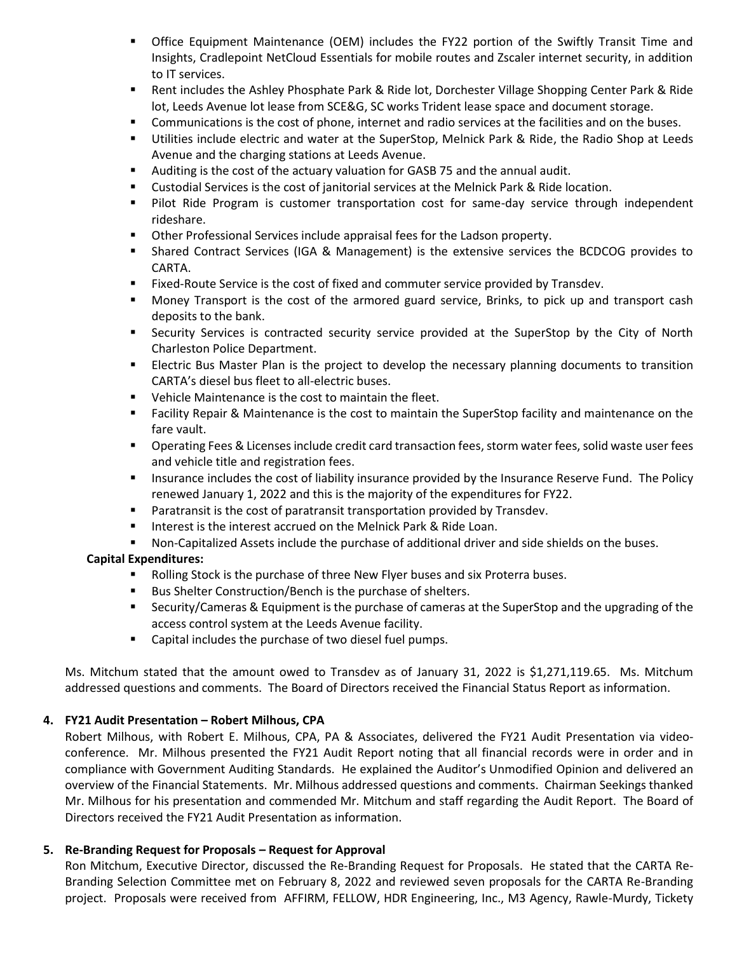- **•** Office Equipment Maintenance (OEM) includes the FY22 portion of the Swiftly Transit Time and Insights, Cradlepoint NetCloud Essentials for mobile routes and Zscaler internet security, in addition to IT services.
- Rent includes the Ashley Phosphate Park & Ride lot, Dorchester Village Shopping Center Park & Ride lot, Leeds Avenue lot lease from SCE&G, SC works Trident lease space and document storage.
- Communications is the cost of phone, internet and radio services at the facilities and on the buses.
- Utilities include electric and water at the SuperStop, Melnick Park & Ride, the Radio Shop at Leeds Avenue and the charging stations at Leeds Avenue.
- Auditing is the cost of the actuary valuation for GASB 75 and the annual audit.
- **EXECUTE:** Custodial Services is the cost of janitorial services at the Melnick Park & Ride location.
- Pilot Ride Program is customer transportation cost for same-day service through independent rideshare.
- Other Professional Services include appraisal fees for the Ladson property.
- Shared Contract Services (IGA & Management) is the extensive services the BCDCOG provides to CARTA.
- Fixed-Route Service is the cost of fixed and commuter service provided by Transdev.
- Money Transport is the cost of the armored guard service, Brinks, to pick up and transport cash deposits to the bank.
- **EXECUTE:** Security Services is contracted security service provided at the SuperStop by the City of North Charleston Police Department.
- **EXECT ELECT FIGUS** Electric Bus Master Plan is the project to develop the necessary planning documents to transition CARTA's diesel bus fleet to all-electric buses.
- Vehicle Maintenance is the cost to maintain the fleet.
- Facility Repair & Maintenance is the cost to maintain the SuperStop facility and maintenance on the fare vault.
- Operating Fees & Licenses include credit card transaction fees, storm water fees, solid waste user fees and vehicle title and registration fees.
- **Insurance includes the cost of liability insurance provided by the Insurance Reserve Fund. The Policy** renewed January 1, 2022 and this is the majority of the expenditures for FY22.
- Paratransit is the cost of paratransit transportation provided by Transdev.
- Interest is the interest accrued on the Melnick Park & Ride Loan.
- Non-Capitalized Assets include the purchase of additional driver and side shields on the buses.

### **Capital Expenditures:**

- Rolling Stock is the purchase of three New Flyer buses and six Proterra buses.
- Bus Shelter Construction/Bench is the purchase of shelters.
- Security/Cameras & Equipment is the purchase of cameras at the SuperStop and the upgrading of the access control system at the Leeds Avenue facility.
- Capital includes the purchase of two diesel fuel pumps.

Ms. Mitchum stated that the amount owed to Transdev as of January 31, 2022 is \$1,271,119.65. Ms. Mitchum addressed questions and comments. The Board of Directors received the Financial Status Report as information.

### **4. FY21 Audit Presentation – Robert Milhous, CPA**

Robert Milhous, with Robert E. Milhous, CPA, PA & Associates, delivered the FY21 Audit Presentation via videoconference. Mr. Milhous presented the FY21 Audit Report noting that all financial records were in order and in compliance with Government Auditing Standards. He explained the Auditor's Unmodified Opinion and delivered an overview of the Financial Statements. Mr. Milhous addressed questions and comments. Chairman Seekings thanked Mr. Milhous for his presentation and commended Mr. Mitchum and staff regarding the Audit Report. The Board of Directors received the FY21 Audit Presentation as information.

### **5. Re-Branding Request for Proposals – Request for Approval**

Ron Mitchum, Executive Director, discussed the Re-Branding Request for Proposals. He stated that the CARTA Re-Branding Selection Committee met on February 8, 2022 and reviewed seven proposals for the CARTA Re-Branding project. Proposals were received from AFFIRM, FELLOW, HDR Engineering, Inc., M3 Agency, Rawle-Murdy, Tickety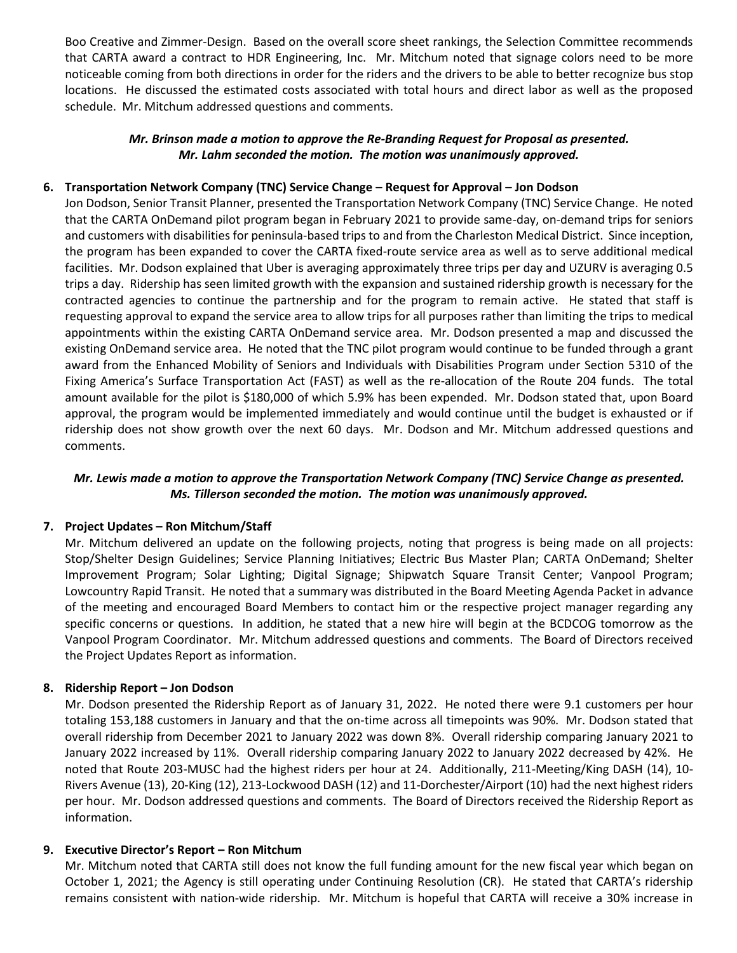Boo Creative and Zimmer-Design. Based on the overall score sheet rankings, the Selection Committee recommends that CARTA award a contract to HDR Engineering, Inc. Mr. Mitchum noted that signage colors need to be more noticeable coming from both directions in order for the riders and the drivers to be able to better recognize bus stop locations. He discussed the estimated costs associated with total hours and direct labor as well as the proposed schedule. Mr. Mitchum addressed questions and comments.

### *Mr. Brinson made a motion to approve the Re-Branding Request for Proposal as presented. Mr. Lahm seconded the motion. The motion was unanimously approved.*

### **6. Transportation Network Company (TNC) Service Change – Request for Approval – Jon Dodson**

Jon Dodson, Senior Transit Planner, presented the Transportation Network Company (TNC) Service Change. He noted that the CARTA OnDemand pilot program began in February 2021 to provide same-day, on-demand trips for seniors and customers with disabilities for peninsula-based trips to and from the Charleston Medical District. Since inception, the program has been expanded to cover the CARTA fixed-route service area as well as to serve additional medical facilities. Mr. Dodson explained that Uber is averaging approximately three trips per day and UZURV is averaging 0.5 trips a day. Ridership has seen limited growth with the expansion and sustained ridership growth is necessary for the contracted agencies to continue the partnership and for the program to remain active. He stated that staff is requesting approval to expand the service area to allow trips for all purposes rather than limiting the trips to medical appointments within the existing CARTA OnDemand service area. Mr. Dodson presented a map and discussed the existing OnDemand service area. He noted that the TNC pilot program would continue to be funded through a grant award from the Enhanced Mobility of Seniors and Individuals with Disabilities Program under Section 5310 of the Fixing America's Surface Transportation Act (FAST) as well as the re-allocation of the Route 204 funds. The total amount available for the pilot is \$180,000 of which 5.9% has been expended. Mr. Dodson stated that, upon Board approval, the program would be implemented immediately and would continue until the budget is exhausted or if ridership does not show growth over the next 60 days. Mr. Dodson and Mr. Mitchum addressed questions and comments.

# *Mr. Lewis made a motion to approve the Transportation Network Company (TNC) Service Change as presented. Ms. Tillerson seconded the motion. The motion was unanimously approved.*

### **7. Project Updates – Ron Mitchum/Staff**

Mr. Mitchum delivered an update on the following projects, noting that progress is being made on all projects: Stop/Shelter Design Guidelines; Service Planning Initiatives; Electric Bus Master Plan; CARTA OnDemand; Shelter Improvement Program; Solar Lighting; Digital Signage; Shipwatch Square Transit Center; Vanpool Program; Lowcountry Rapid Transit. He noted that a summary was distributed in the Board Meeting Agenda Packet in advance of the meeting and encouraged Board Members to contact him or the respective project manager regarding any specific concerns or questions. In addition, he stated that a new hire will begin at the BCDCOG tomorrow as the Vanpool Program Coordinator. Mr. Mitchum addressed questions and comments. The Board of Directors received the Project Updates Report as information.

### **8. Ridership Report – Jon Dodson**

Mr. Dodson presented the Ridership Report as of January 31, 2022. He noted there were 9.1 customers per hour totaling 153,188 customers in January and that the on-time across all timepoints was 90%. Mr. Dodson stated that overall ridership from December 2021 to January 2022 was down 8%. Overall ridership comparing January 2021 to January 2022 increased by 11%. Overall ridership comparing January 2022 to January 2022 decreased by 42%. He noted that Route 203-MUSC had the highest riders per hour at 24. Additionally, 211-Meeting/King DASH (14), 10- Rivers Avenue (13), 20-King (12), 213-Lockwood DASH (12) and 11-Dorchester/Airport (10) had the next highest riders per hour. Mr. Dodson addressed questions and comments. The Board of Directors received the Ridership Report as information.

### **9. Executive Director's Report – Ron Mitchum**

Mr. Mitchum noted that CARTA still does not know the full funding amount for the new fiscal year which began on October 1, 2021; the Agency is still operating under Continuing Resolution (CR). He stated that CARTA's ridership remains consistent with nation-wide ridership. Mr. Mitchum is hopeful that CARTA will receive a 30% increase in